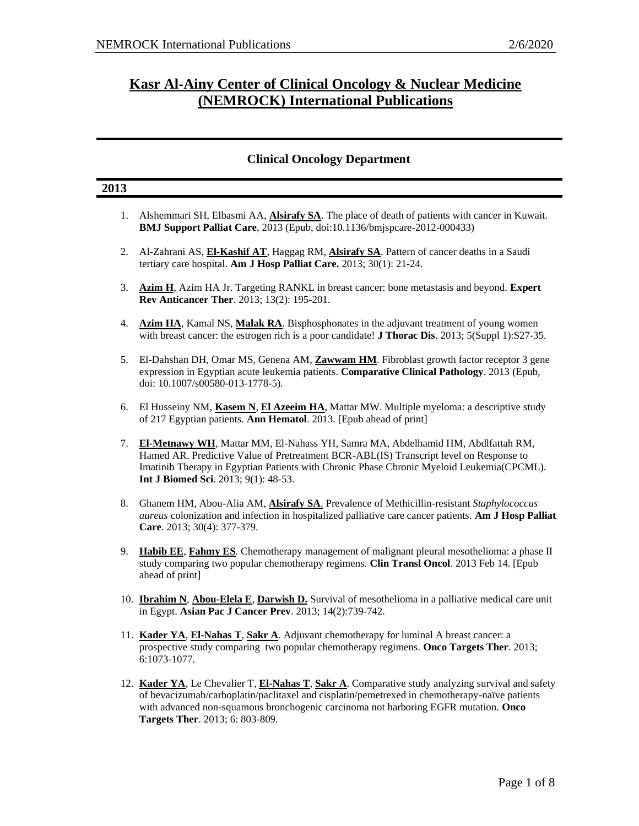## **Kasr Al-Ainy Center of Clinical Oncology & Nuclear Medicine (NEMROCK) International Publications**

### **Clinical Oncology Department**

| 2013 |                                                                                                                                                                                                                                                                                                                              |
|------|------------------------------------------------------------------------------------------------------------------------------------------------------------------------------------------------------------------------------------------------------------------------------------------------------------------------------|
|      | 1. Alshemmari SH, Elbasmi AA, <b>Alsirafy SA</b> . The place of death of patients with cancer in Kuwait.<br>BMJ Support Palliat Care, 2013 (Epub, doi:10.1136/bmjspcare-2012-000433)                                                                                                                                         |
| 2.   | Al-Zahrani AS, El-Kashif AT, Haggag RM, Alsirafy SA. Pattern of cancer deaths in a Saudi<br>tertiary care hospital. Am J Hosp Palliat Care. 2013; 30(1): 21-24.                                                                                                                                                              |
| 3.   | Azim H, Azim HA Jr. Targeting RANKL in breast cancer: bone metastasis and beyond. Expert<br><b>Rev Anticancer Ther.</b> 2013; 13(2): 195-201.                                                                                                                                                                                |
| 4.   | Azim HA, Kamal NS, Malak RA. Bisphosphonates in the adjuvant treatment of young women<br>with breast cancer: the estrogen rich is a poor candidate! <b>J Thorac Dis</b> . 2013; 5(Suppl 1):S27-35.                                                                                                                           |
| 5.   | El-Dahshan DH, Omar MS, Genena AM, Zawwam HM. Fibroblast growth factor receptor 3 gene<br>expression in Egyptian acute leukemia patients. Comparative Clinical Pathology. 2013 (Epub,<br>doi: 10.1007/s00580-013-1778-5).                                                                                                    |
| 6.   | El Husseiny NM, Kasem N, El Azeeim HA, Mattar MW. Multiple myeloma: a descriptive study<br>of 217 Egyptian patients. Ann Hematol. 2013. [Epub ahead of print]                                                                                                                                                                |
| 7.   | El-Metnawy WH, Mattar MM, El-Nahass YH, Samra MA, Abdelhamid HM, Abdlfattah RM,<br>Hamed AR. Predictive Value of Pretreatment BCR-ABL(IS) Transcript level on Response to<br>Imatinib Therapy in Egyptian Patients with Chronic Phase Chronic Myeloid Leukemia(CPCML).<br>Int J Biomed Sci. 2013; 9(1): 48-53.               |
| 8.   | Ghanem HM, Abou-Alia AM, <b>Alsirafy SA</b> . Prevalence of Methicillin-resistant Staphylococcus<br>aureus colonization and infection in hospitalized palliative care cancer patients. Am J Hosp Palliat<br>Care. 2013; 30(4): 377-379.                                                                                      |
| 9.   | Habib EE, Fahmy ES. Chemotherapy management of malignant pleural mesothelioma: a phase II<br>study comparing two popular chemotherapy regimens. Clin Transl Oncol. 2013 Feb 14. [Epub<br>ahead of print]                                                                                                                     |
|      | 10. Ibrahim N, Abou-Elela E, Darwish D. Survival of mesothelioma in a palliative medical care unit<br>in Egypt. Asian Pac J Cancer Prev. 2013; 14(2):739-742.                                                                                                                                                                |
|      | 11. Kader YA, El-Nahas T, Sakr A. Adjuvant chemotherapy for luminal A breast cancer: a<br>prospective study comparing two popular chemotherapy regimens. Onco Targets Ther. 2013;<br>6:1073-1077.                                                                                                                            |
|      | 12. Kader YA, Le Chevalier T, El-Nahas T, Sakr A. Comparative study analyzing survival and safety<br>of bevacizumab/carboplatin/paclitaxel and cisplatin/pemetrexed in chemotherapy-naïve patients<br>with advanced non-squamous bronchogenic carcinoma not harboring EGFR mutation. Onco<br>Targets Ther. 2013; 6: 803-809. |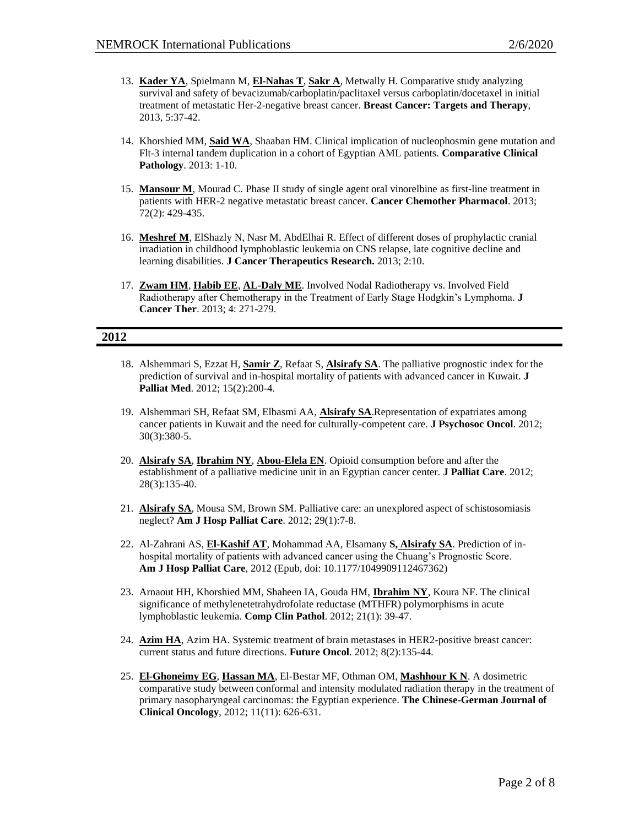- 13. **Kader YA**, Spielmann M, **El-Nahas T**, **Sakr A**, Metwally H. Comparative study analyzing survival and safety of bevacizumab/carboplatin/paclitaxel versus carboplatin/docetaxel in initial treatment of metastatic Her-2-negative breast cancer. **Breast Cancer: Targets and Therapy**, 2013, 5:37-42.
- 14. Khorshied MM, **Said WA**, Shaaban HM. Clinical implication of nucleophosmin gene mutation and Flt-3 internal tandem duplication in a cohort of Egyptian AML patients. **Comparative Clinical Pathology**. 2013: 1-10.
- 15. **Mansour M**, Mourad C. Phase II study of single agent oral vinorelbine as first-line treatment in patients with HER-2 negative metastatic breast cancer. **Cancer Chemother Pharmacol**. 2013; 72(2): 429-435.
- 16. **Meshref M**, ElShazly N, Nasr M, AbdElhai R. Effect of different doses of prophylactic cranial irradiation in childhood lymphoblastic leukemia on CNS relapse, late cognitive decline and learning disabilities. **J Cancer Therapeutics Research.** 2013; 2:10.
- 17. **Zwam HM**, **Habib EE**, **AL-Daly ME**. Involved Nodal Radiotherapy vs. Involved Field Radiotherapy after Chemotherapy in the Treatment of Early Stage Hodgkin's Lymphoma. **J Cancer Ther**. 2013; 4: 271-279.

#### **2012**

- 18. Alshemmari S, Ezzat H, **Samir Z**, Refaat S, **Alsirafy SA**. The palliative prognostic index for the prediction of survival and in-hospital mortality of patients with advanced cancer in Kuwait. **J Palliat Med**. 2012; 15(2):200-4.
- 19. Alshemmari SH, Refaat SM, Elbasmi AA, **Alsirafy SA**.Representation of expatriates among cancer patients in Kuwait and the need for culturally-competent care. **J Psychosoc Oncol**. 2012; 30(3):380-5.
- 20. **Alsirafy SA**, **Ibrahim NY**, **Abou-Elela EN**. Opioid consumption before and after the establishment of a palliative medicine unit in an Egyptian cancer center. **J Palliat Care**. 2012; 28(3):135-40.
- 21. **Alsirafy SA**, Mousa SM, Brown SM. Palliative care: an unexplored aspect of schistosomiasis neglect? **Am J Hosp Palliat Care**. 2012; 29(1):7-8.
- 22. Al-Zahrani AS, **El-Kashif AT**, Mohammad AA, Elsamany **S, Alsirafy SA**. Prediction of inhospital mortality of patients with advanced cancer using the Chuang's Prognostic Score. **Am J Hosp Palliat Care**, 2012 (Epub, doi: 10.1177/1049909112467362)
- 23. Arnaout HH, Khorshied MM, Shaheen IA, Gouda HM, **Ibrahim NY**, Koura NF. The clinical significance of methylenetetrahydrofolate reductase (MTHFR) polymorphisms in acute lymphoblastic leukemia. **Comp Clin Pathol**. 2012; 21(1): 39-47.
- 24. **Azim HA**, Azim HA. Systemic treatment of brain metastases in HER2-positive breast cancer: current status and future directions. **Future Oncol**. 2012; 8(2):135-44.
- 25. **El-Ghoneimy EG**, **Hassan MA**, El-Bestar MF, Othman OM, **Mashhour K N**. A dosimetric comparative study between conformal and intensity modulated radiation therapy in the treatment of primary nasopharyngeal carcinomas: the Egyptian experience. **The Chinese-German Journal of Clinical Oncology**, 2012; 11(11): 626-631.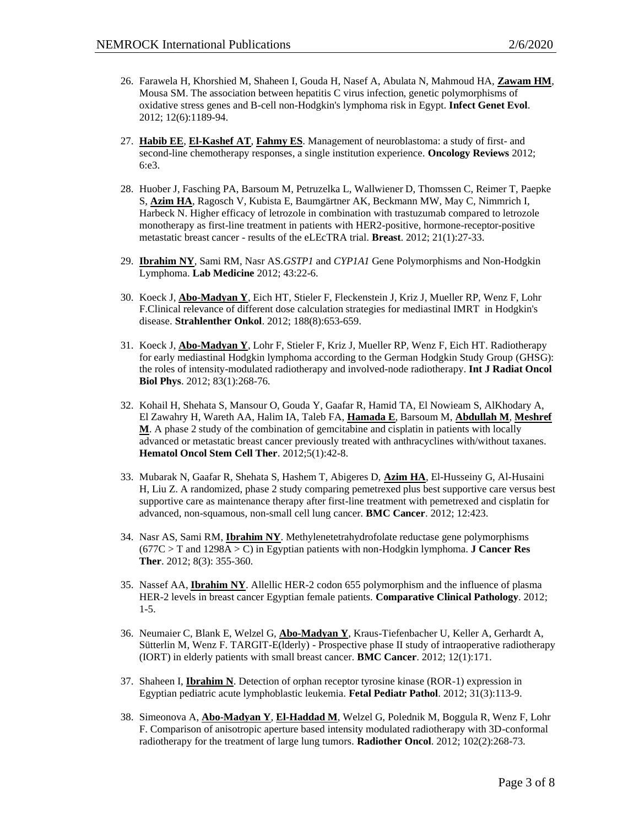- 26. Farawela H, Khorshied M, Shaheen I, Gouda H, Nasef A, Abulata N, Mahmoud HA, **Zawam HM**, Mousa SM. The association between hepatitis C virus infection, genetic polymorphisms of oxidative stress genes and B-cell non-Hodgkin's lymphoma risk in Egypt. **Infect Genet Evol**. 2012; 12(6):1189-94.
- 27. **Habib EE**, **El-Kashef AT**, **Fahmy ES**. Management of neuroblastoma: a study of first- and second-line chemotherapy responses, a single institution experience. **Oncology Reviews** 2012; 6:e3.
- 28. Huober J, Fasching PA, Barsoum M, Petruzelka L, Wallwiener D, Thomssen C, Reimer T, Paepke S, **Azim HA**, Ragosch V, Kubista E, Baumgärtner AK, Beckmann MW, May C, Nimmrich I, Harbeck N. Higher efficacy of letrozole in combination with trastuzumab compared to letrozole monotherapy as first-line treatment in patients with HER2-positive, hormone-receptor-positive metastatic breast cancer - results of the eLEcTRA trial. **Breast**. 2012; 21(1):27-33.
- 29. **Ibrahim NY**, Sami RM, Nasr AS.*GSTP1* and *CYP1A1* Gene Polymorphisms and Non-Hodgkin Lymphoma. **Lab Medicine** 2012; 43:22-6.
- 30. Koeck J, **Abo-Madyan Y**, Eich HT, Stieler F, Fleckenstein J, Kriz J, Mueller RP, Wenz F, Lohr F.Clinical relevance of different dose calculation strategies for mediastinal IMRT in Hodgkin's disease. **Strahlenther Onkol**. 2012; 188(8):653-659.
- 31. Koeck J, **Abo-Madyan Y**, Lohr F, Stieler F, Kriz J, Mueller RP, Wenz F, Eich HT. Radiotherapy for early mediastinal Hodgkin lymphoma according to the German Hodgkin Study Group (GHSG): the roles of intensity-modulated radiotherapy and involved-node radiotherapy. **Int J Radiat Oncol Biol Phys**. 2012; 83(1):268-76.
- 32. Kohail H, Shehata S, Mansour O, Gouda Y, Gaafar R, Hamid TA, El Nowieam S, AlKhodary A, El Zawahry H, Wareth AA, Halim IA, Taleb FA, **Hamada E**, Barsoum M, **Abdullah M**, **Meshref M**. A phase 2 study of the combination of gemcitabine and cisplatin in patients with locally advanced or metastatic breast cancer previously treated with anthracyclines with/without taxanes. **Hematol Oncol Stem Cell Ther**. 2012;5(1):42-8.
- 33. Mubarak N, Gaafar R, Shehata S, Hashem T, Abigeres D, **Azim HA**, El-Husseiny G, Al-Husaini H, Liu Z. A randomized, phase 2 study comparing pemetrexed plus best supportive care versus best supportive care as maintenance therapy after first-line treatment with pemetrexed and cisplatin for advanced, non-squamous, non-small cell lung cancer. **BMC Cancer**. 2012; 12:423.
- 34. Nasr AS, Sami RM, **Ibrahim NY**. Methylenetetrahydrofolate reductase gene polymorphisms (677C > T and 1298A > C) in Egyptian patients with non-Hodgkin lymphoma. **J Cancer Res Ther**. 2012; 8(3): 355-360.
- 35. Nassef AA, **Ibrahim NY**. Allellic HER-2 codon 655 polymorphism and the influence of plasma HER-2 levels in breast cancer Egyptian female patients. **Comparative Clinical Pathology**. 2012; 1-5.
- 36. Neumaier C, Blank E, Welzel G, **Abo-Madyan Y**, Kraus-Tiefenbacher U, Keller A, Gerhardt A, Sütterlin M, Wenz F. TARGIT-E(lderly) - Prospective phase II study of intraoperative radiotherapy (IORT) in elderly patients with small breast cancer. **BMC Cancer**. 2012; 12(1):171.
- 37. Shaheen I, **Ibrahim N**. Detection of orphan receptor tyrosine kinase (ROR-1) expression in Egyptian pediatric acute lymphoblastic leukemia. **Fetal Pediatr Pathol**. 2012; 31(3):113-9.
- 38. Simeonova A, **Abo-Madyan Y**, **El-Haddad M**, Welzel G, Polednik M, Boggula R, Wenz F, Lohr F. Comparison of anisotropic aperture based intensity modulated radiotherapy with 3D-conformal radiotherapy for the treatment of large lung tumors. **Radiother Oncol**. 2012; 102(2):268-73.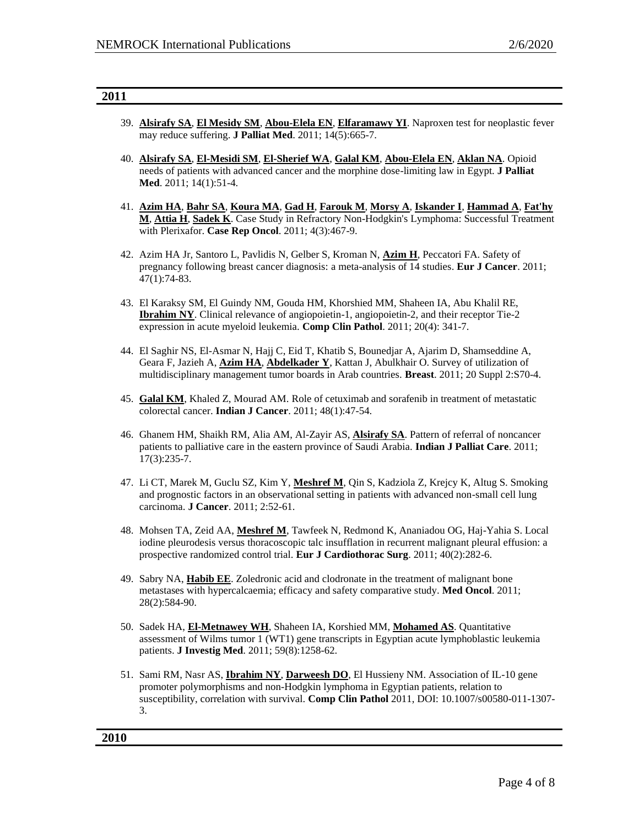#### **2011**

- 39. **Alsirafy SA**, **El Mesidy SM**, **Abou-Elela EN**, **Elfaramawy YI**. Naproxen test for neoplastic fever may reduce suffering. **J Palliat Med**. 2011; 14(5):665-7.
- 40. **Alsirafy SA**, **El-Mesidi SM**, **El-Sherief WA**, **Galal KM**, **Abou-Elela EN**, **Aklan NA**. Opioid needs of patients with advanced cancer and the morphine dose-limiting law in Egypt. **J Palliat Med**. 2011; 14(1):51-4.
- 41. **Azim HA**, **Bahr SA**, **Koura MA**, **Gad H**, **Farouk M**, **Morsy A**, **Iskander I**, **Hammad A**, **Fat'hy M**, **Attia H**, **Sadek K**. Case Study in Refractory Non-Hodgkin's Lymphoma: Successful Treatment with Plerixafor. **Case Rep Oncol**. 2011; 4(3):467-9.
- 42. Azim HA Jr, Santoro L, Pavlidis N, Gelber S, Kroman N, **Azim H**, Peccatori FA. Safety of pregnancy following breast cancer diagnosis: a meta-analysis of 14 studies. **Eur J Cancer**. 2011; 47(1):74-83.
- 43. El Karaksy SM, El Guindy NM, Gouda HM, Khorshied MM, Shaheen IA, Abu Khalil RE, **Ibrahim NY**. Clinical relevance of angiopoietin-1, angiopoietin-2, and their receptor Tie-2 expression in acute myeloid leukemia. **Comp Clin Pathol**. 2011; 20(4): 341-7.
- 44. El Saghir NS, El-Asmar N, Hajj C, Eid T, Khatib S, Bounedjar A, Ajarim D, Shamseddine A, Geara F, Jazieh A, **Azim HA**, **Abdelkader Y**, Kattan J, Abulkhair O. Survey of utilization of multidisciplinary management tumor boards in Arab countries. **Breast**. 2011; 20 Suppl 2:S70-4.
- 45. **Galal KM**, Khaled Z, Mourad AM. Role of cetuximab and sorafenib in treatment of metastatic colorectal cancer. **Indian J Cancer**. 2011; 48(1):47-54.
- 46. Ghanem HM, Shaikh RM, Alia AM, Al-Zayir AS, **Alsirafy SA**. Pattern of referral of noncancer patients to palliative care in the eastern province of Saudi Arabia. **Indian J Palliat Care**. 2011; 17(3):235-7.
- 47. Li CT, Marek M, Guclu SZ, Kim Y, **Meshref M**, Qin S, Kadziola Z, Krejcy K, Altug S. Smoking and prognostic factors in an observational setting in patients with advanced non-small cell lung carcinoma. **J Cancer**. 2011; 2:52-61.
- 48. Mohsen TA, Zeid AA, **Meshref M**, Tawfeek N, Redmond K, Ananiadou OG, Haj-Yahia S. Local iodine pleurodesis versus thoracoscopic talc insufflation in recurrent malignant pleural effusion: a prospective randomized control trial. **Eur J Cardiothorac Surg**. 2011; 40(2):282-6.
- 49. Sabry NA, **Habib EE**. Zoledronic acid and clodronate in the treatment of malignant bone metastases with hypercalcaemia; efficacy and safety comparative study. **Med Oncol**. 2011; 28(2):584-90.
- 50. Sadek HA, **El-Metnawey WH**, Shaheen IA, Korshied MM, **Mohamed AS**. Quantitative assessment of Wilms tumor 1 (WT1) gene transcripts in Egyptian acute lymphoblastic leukemia patients. **J Investig Med**. 2011; 59(8):1258-62.
- 51. Sami RM, Nasr AS, **Ibrahim NY**, **Darweesh DO**, El Hussieny NM. Association of IL-10 gene promoter polymorphisms and non-Hodgkin lymphoma in Egyptian patients, relation to susceptibility, correlation with survival. **Comp Clin Pathol** 2011, DOI: 10.1007/s00580-011-1307- 3.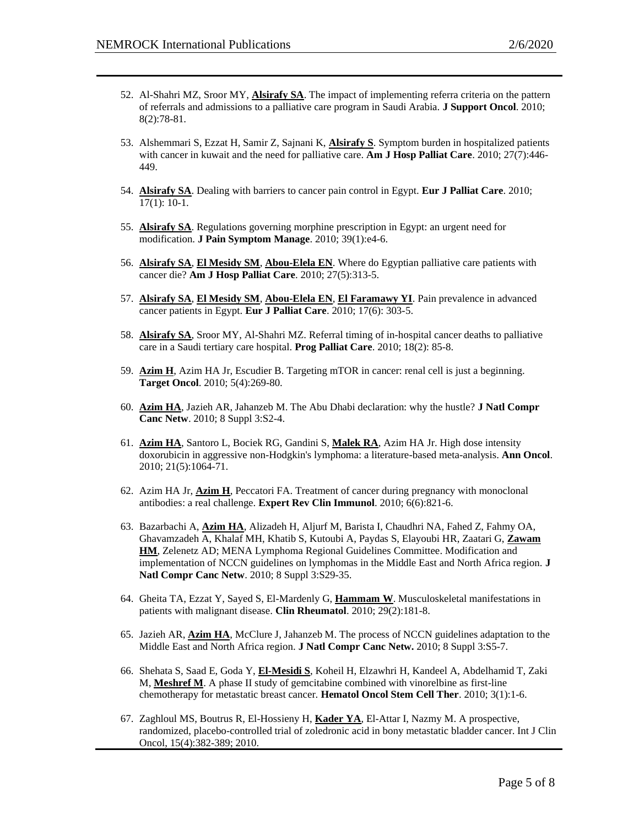- 52. Al-Shahri MZ, Sroor MY, **Alsirafy SA**. The impact of implementing referra criteria on the pattern of referrals and admissions to a palliative care program in Saudi Arabia. **J Support Oncol**. 2010; 8(2):78-81.
- 53. Alshemmari S, Ezzat H, Samir Z, Sajnani K, **Alsirafy S**. Symptom burden in hospitalized patients with cancer in kuwait and the need for palliative care. **Am J Hosp Palliat Care**. 2010; 27(7):446- 449.
- 54. **Alsirafy SA**. Dealing with barriers to cancer pain control in Egypt. **Eur J Palliat Care**. 2010; 17(1): 10-1.
- 55. **Alsirafy SA**. Regulations governing morphine prescription in Egypt: an urgent need for modification. **J Pain Symptom Manage**. 2010; 39(1):e4-6.
- 56. **Alsirafy SA**, **El Mesidy SM**, **Abou-Elela EN**. Where do Egyptian palliative care patients with cancer die? **Am J Hosp Palliat Care**. 2010; 27(5):313-5.
- 57. **Alsirafy SA**, **El Mesidy SM**, **Abou-Elela EN**, **El Faramawy YI**. Pain prevalence in advanced cancer patients in Egypt. **Eur J Palliat Care**. 2010; 17(6): 303-5.
- 58. **Alsirafy SA**, Sroor MY, Al-Shahri MZ. Referral timing of in-hospital cancer deaths to palliative care in a Saudi tertiary care hospital. **Prog Palliat Care**. 2010; 18(2): 85-8.
- 59. **Azim H**, Azim HA Jr, Escudier B. Targeting mTOR in cancer: renal cell is just a beginning. **Target Oncol**. 2010; 5(4):269-80.
- 60. **Azim HA**, Jazieh AR, Jahanzeb M. The Abu Dhabi declaration: why the hustle? **J Natl Compr Canc Netw**. 2010; 8 Suppl 3:S2-4.
- 61. **Azim HA**, Santoro L, Bociek RG, Gandini S, **Malek RA**, Azim HA Jr. High dose intensity doxorubicin in aggressive non-Hodgkin's lymphoma: a literature-based meta-analysis. **Ann Oncol**. 2010; 21(5):1064-71.
- 62. Azim HA Jr, **Azim H**, Peccatori FA. Treatment of cancer during pregnancy with monoclonal antibodies: a real challenge. **Expert Rev Clin Immunol**. 2010; 6(6):821-6.
- 63. Bazarbachi A, **Azim HA**, Alizadeh H, Aljurf M, Barista I, Chaudhri NA, Fahed Z, Fahmy OA, Ghavamzadeh A, Khalaf MH, Khatib S, Kutoubi A, Paydas S, Elayoubi HR, Zaatari G, **Zawam HM**, Zelenetz AD; MENA Lymphoma Regional Guidelines Committee. Modification and implementation of NCCN guidelines on lymphomas in the Middle East and North Africa region. **J Natl Compr Canc Netw**. 2010; 8 Suppl 3:S29-35.
- 64. Gheita TA, Ezzat Y, Sayed S, El-Mardenly G, **Hammam W**. Musculoskeletal manifestations in patients with malignant disease. **Clin Rheumatol**. 2010; 29(2):181-8.
- 65. Jazieh AR, **Azim HA**, McClure J, Jahanzeb M. The process of NCCN guidelines adaptation to the Middle East and North Africa region. **J Natl Compr Canc Netw.** 2010; 8 Suppl 3:S5-7.
- 66. Shehata S, Saad E, Goda Y, **El-Mesidi S**, Koheil H, Elzawhri H, Kandeel A, Abdelhamid T, Zaki M, **Meshref M**. A phase II study of gemcitabine combined with vinorelbine as first-line chemotherapy for metastatic breast cancer. **Hematol Oncol Stem Cell Ther**. 2010; 3(1):1-6.
- 67. Zaghloul MS, Boutrus R, El-Hossieny H, **Kader YA**, El-Attar I, Nazmy M. A prospective, randomized, placebo-controlled trial of zoledronic acid in bony metastatic bladder cancer. Int J Clin Oncol, 15(4):382-389; 2010.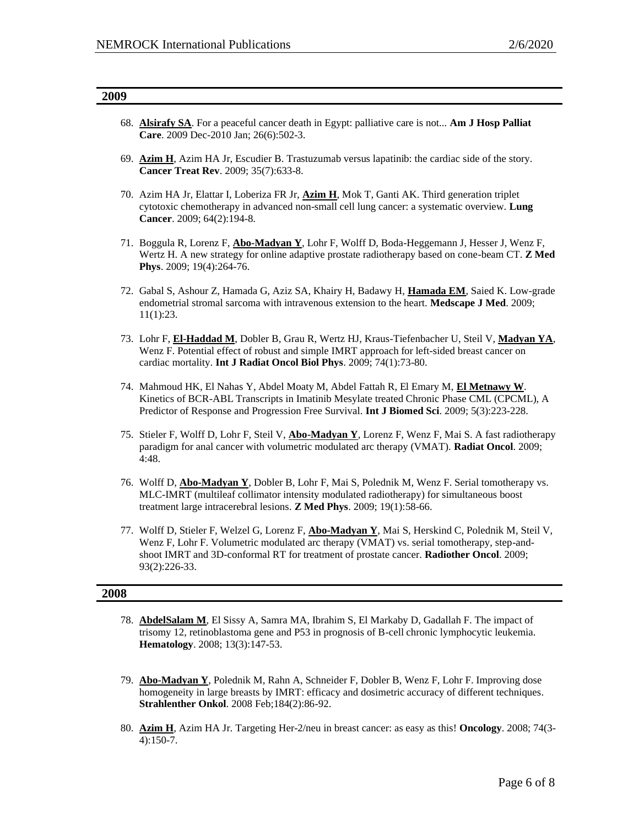| 2009 |                                                                                                                                                                                                                                                                                                            |
|------|------------------------------------------------------------------------------------------------------------------------------------------------------------------------------------------------------------------------------------------------------------------------------------------------------------|
|      | 68. Alsirafy SA. For a peaceful cancer death in Egypt: palliative care is not Am J Hosp Palliat<br>Care. 2009 Dec-2010 Jan; 26(6):502-3.                                                                                                                                                                   |
|      | 69. Azim H, Azim HA Jr, Escudier B. Trastuzumab versus lapatinib: the cardiac side of the story.<br><b>Cancer Treat Rev.</b> 2009; 35(7):633-8.                                                                                                                                                            |
|      | 70. Azim HA Jr, Elattar I, Loberiza FR Jr, <b>Azim H</b> , Mok T, Ganti AK. Third generation triplet<br>cytotoxic chemotherapy in advanced non-small cell lung cancer: a systematic overview. Lung<br>Cancer. 2009; 64(2):194-8.                                                                           |
|      | 71. Boggula R, Lorenz F, <b>Abo-Madyan Y</b> , Lohr F, Wolff D, Boda-Heggemann J, Hesser J, Wenz F,<br>Wertz H. A new strategy for online adaptive prostate radiotherapy based on cone-beam CT. Z Med<br>Phys. 2009; 19(4):264-76.                                                                         |
|      | 72. Gabal S, Ashour Z, Hamada G, Aziz SA, Khairy H, Badawy H, Hamada EM, Saied K. Low-grade<br>endometrial stromal sarcoma with intravenous extension to the heart. Medscape J Med. 2009;<br>11(1):23.                                                                                                     |
|      | 73. Lohr F, El-Haddad M, Dobler B, Grau R, Wertz HJ, Kraus-Tiefenbacher U, Steil V, Madyan YA,<br>Wenz F. Potential effect of robust and simple IMRT approach for left-sided breast cancer on<br>cardiac mortality. Int J Radiat Oncol Biol Phys. 2009; 74(1):73-80.                                       |
|      | 74. Mahmoud HK, El Nahas Y, Abdel Moaty M, Abdel Fattah R, El Emary M, El Metnawy W.<br>Kinetics of BCR-ABL Transcripts in Imatinib Mesylate treated Chronic Phase CML (CPCML), A<br>Predictor of Response and Progression Free Survival. Int J Biomed Sci. 2009; 5(3):223-228.                            |
|      | 75. Stieler F, Wolff D, Lohr F, Steil V, <b>Abo-Madyan Y</b> , Lorenz F, Wenz F, Mai S. A fast radiotherapy<br>paradigm for anal cancer with volumetric modulated arc therapy (VMAT). Radiat Oncol. 2009;<br>4:48.                                                                                         |
|      | 76. Wolff D, <b>Abo-Madyan Y</b> , Dobler B, Lohr F, Mai S, Polednik M, Wenz F. Serial tomotherapy vs.<br>MLC-IMRT (multileaf collimator intensity modulated radiotherapy) for simultaneous boost<br>treatment large intracerebral lesions. Z Med Phys. 2009; 19(1):58-66.                                 |
|      | 77. Wolff D, Stieler F, Welzel G, Lorenz F, Abo-Madyan Y, Mai S, Herskind C, Polednik M, Steil V,<br>Wenz F, Lohr F. Volumetric modulated arc therapy (VMAT) vs. serial tomotherapy, step-and-<br>shoot IMRT and 3D-conformal RT for treatment of prostate cancer. Radiother Oncol. 2009;<br>93(2):226-33. |
| 2008 |                                                                                                                                                                                                                                                                                                            |
|      | 78. AbdelSalam M, El Sissy A, Samra MA, Ibrahim S, El Markaby D, Gadallah F. The impact of<br>trisomy 12, retinoblastoma gene and P53 in prognosis of B-cell chronic lymphocytic leukemia.<br>Hematology. 2008; 13(3):147-53.                                                                              |

- 79. **Abo-Madyan Y**, Polednik M, Rahn A, Schneider F, Dobler B, Wenz F, Lohr F. Improving dose homogeneity in large breasts by IMRT: efficacy and dosimetric accuracy of different techniques. **Strahlenther Onkol**. 2008 Feb;184(2):86-92.
- 80. **Azim H**, Azim HA Jr. Targeting Her-2/neu in breast cancer: as easy as this! **Oncology**. 2008; 74(3- 4):150-7.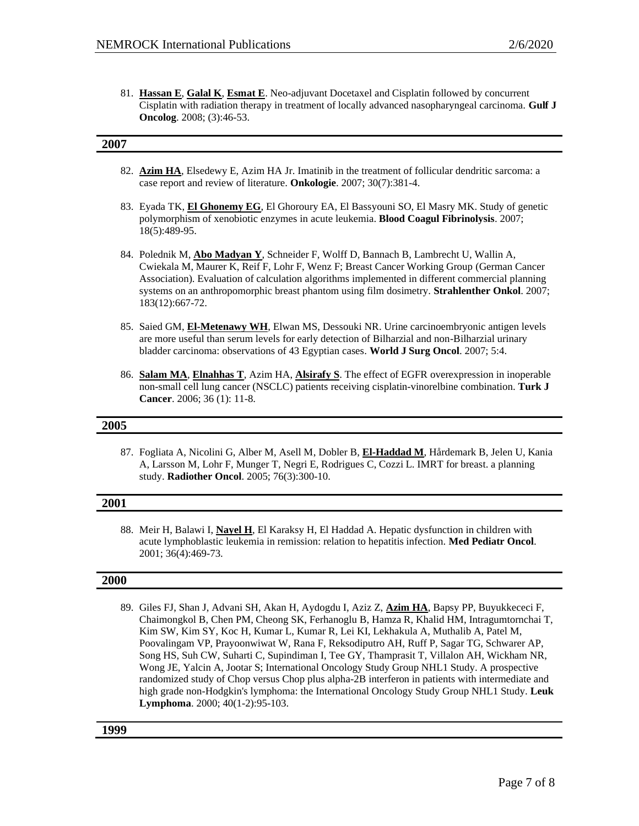81. **Hassan E**, **Galal K**, **Esmat E**. Neo-adjuvant Docetaxel and Cisplatin followed by concurrent Cisplatin with radiation therapy in treatment of locally advanced nasopharyngeal carcinoma. **Gulf J Oncolog**. 2008; (3):46-53.

#### **2007**

- 82. **Azim HA**, Elsedewy E, Azim HA Jr. Imatinib in the treatment of follicular dendritic sarcoma: a case report and review of literature. **Onkologie**. 2007; 30(7):381-4.
- 83. Eyada TK, **El Ghonemy EG**, El Ghoroury EA, El Bassyouni SO, El Masry MK. Study of genetic polymorphism of xenobiotic enzymes in acute leukemia. **Blood Coagul Fibrinolysis**. 2007; 18(5):489-95.
- 84. Polednik M, **Abo Madyan Y**, Schneider F, Wolff D, Bannach B, Lambrecht U, Wallin A, Cwiekala M, Maurer K, Reif F, Lohr F, Wenz F; Breast Cancer Working Group (German Cancer Association). Evaluation of calculation algorithms implemented in different commercial planning systems on an anthropomorphic breast phantom using film dosimetry. **Strahlenther Onkol**. 2007; 183(12):667-72.
- 85. Saied GM, **El-Metenawy WH**, Elwan MS, Dessouki NR. Urine carcinoembryonic antigen levels are more useful than serum levels for early detection of Bilharzial and non-Bilharzial urinary bladder carcinoma: observations of 43 Egyptian cases. **World J Surg Oncol**. 2007; 5:4.
- 86. **Salam MA**, **Elnahhas T**, Azim HA, **Alsirafy S**. The effect of EGFR overexpression in inoperable non-small cell lung cancer (NSCLC) patients receiving cisplatin-vinorelbine combination. **Turk J Cancer**. 2006; 36 (1): 11-8.

#### **2005**

87. Fogliata A, Nicolini G, Alber M, Asell M, Dobler B, **El-Haddad M**, Hårdemark B, Jelen U, Kania A, Larsson M, Lohr F, Munger T, Negri E, Rodrigues C, Cozzi L. IMRT for breast. a planning study. **Radiother Oncol**. 2005; 76(3):300-10.

#### **2001**

88. Meir H, Balawi I, **Nayel H**, El Karaksy H, El Haddad A. Hepatic dysfunction in children with acute lymphoblastic leukemia in remission: relation to hepatitis infection. **Med Pediatr Oncol**. 2001; 36(4):469-73.

#### **2000**

89. Giles FJ, Shan J, Advani SH, Akan H, Aydogdu I, Aziz Z, **Azim HA**, Bapsy PP, Buyukkececi F, Chaimongkol B, Chen PM, Cheong SK, Ferhanoglu B, Hamza R, Khalid HM, Intragumtornchai T, Kim SW, Kim SY, Koc H, Kumar L, Kumar R, Lei KI, Lekhakula A, Muthalib A, Patel M, Poovalingam VP, Prayoonwiwat W, Rana F, Reksodiputro AH, Ruff P, Sagar TG, Schwarer AP, Song HS, Suh CW, Suharti C, Supindiman I, Tee GY, Thamprasit T, Villalon AH, Wickham NR, Wong JE, Yalcin A, Jootar S; International Oncology Study Group NHL1 Study. A prospective randomized study of Chop versus Chop plus alpha-2B interferon in patients with intermediate and high grade non-Hodgkin's lymphoma: the International Oncology Study Group NHL1 Study. **Leuk Lymphoma**. 2000; 40(1-2):95-103.